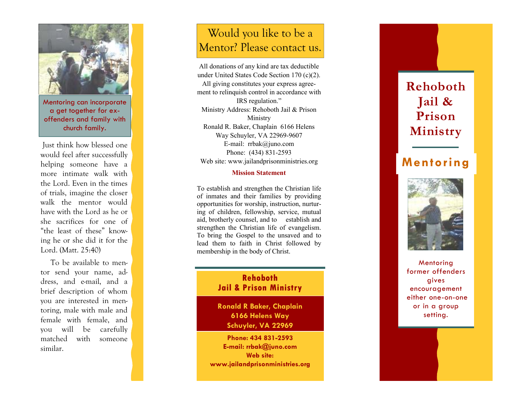

Mentoring can incorporate a get together for exoffenders and family with church family.

 Just think how blessed one would feel after successfully helping someone have a more intimate walk with the Lord. Even in the times of trials, imagine the closer walk the mentor would have with the Lord as he or she sacrifices for one of "the least of these" knowing he or she did it for the Lord. (Matt. 25:40)

 To be available to mentor send your name, address, and e-mail, and a brief description of whom you are interested in mentoring, male with male and female with female, and you will be carefully matched with someone similar.

# Would you like to be a Mentor? Please contact us.

All donations of any kind are tax deductible under United States Code Section 170 (c)(2). All giving constitutes your express agreement to relinquish control in accordance with IRS regulation." Ministry Address: Rehoboth Jail & Prison Ministry Ronald R. Baker, Chaplain 6166 Helens Way Schuyler, VA 22969-9607 E-mail: rrbak@juno.com Phone: (434) 831-2593 Web site: www.jailandprisonministries.org

#### **Mission Statement**

To establish and strengthen the Christian life of inmates and their families by providing opportunities for worship, instruction, nurturing of children, fellowship, service, mutual aid, brotherly counsel, and to establish and strengthen the Christian life of evangelism. To bring the Gospel to the unsaved and to lead them to faith in Christ followed by membership in the body of Christ.

### **Rehoboth Jail & Prison Ministry**

**Ronald R Baker, Chaplain 6166 Helens Way Schuyler, VA 22969** 

**Phone: 434 831-2593 E-mail: rrbak@juno.com Web site: www.jailandprisonministries.org** 

# **Rehoboth Jail & Prison Ministry**

# **Mentoring**



**Mentoring**  former offenders gives encouragement either one-on-one or in a group setting.